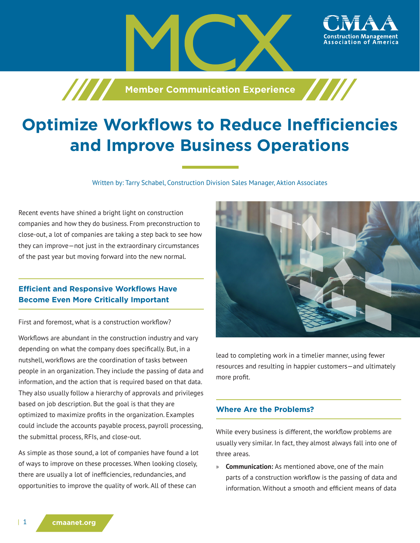

**Machiner Communication Experience** 

Written by: Tarry Schabel, Construction Division Sales Manager, Aktion Associates

Recent events have shined a bright light on construction companies and how they do business. From preconstruction to close-out, a lot of companies are taking a step back to see how they can improve—not just in the extraordinary circumstances of the past year but moving forward into the new normal.

# **Efficient and Responsive Workflows Have Become Even More Critically Important**

First and foremost, what is a construction workflow?

Workflows are abundant in the construction industry and vary depending on what the company does specifically. But, in a nutshell, workflows are the coordination of tasks between people in an organization. They include the passing of data and information, and the action that is required based on that data. They also usually follow a hierarchy of approvals and privileges based on job description. But the goal is that they are optimized to maximize profits in the organization. Examples could include the accounts payable process, payroll processing, the submittal process, RFIs, and close-out.

As simple as those sound, a lot of companies have found a lot of ways to improve on these processes. When looking closely, there are usually a lot of inefficiencies, redundancies, and opportunities to improve the quality of work. All of these can



ssociation of

lead to completing work in a timelier manner, using fewer resources and resulting in happier customers—and ultimately more profit.

### **Where Are the Problems?**

While every business is different, the workflow problems are usually very similar. In fact, they almost always fall into one of three areas.

» **Communication:** As mentioned above, one of the main parts of a construction workflow is the passing of data and information. Without a smooth and efficient means of data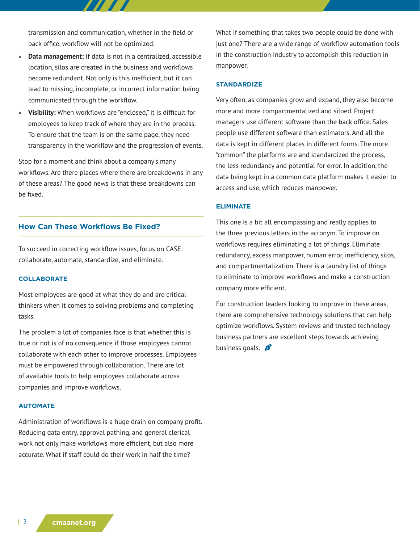transmission and communication, whether in the field or back office, workflow will not be optimized.

- » **Data management:** If data is not in a centralized, accessible location, silos are created in the business and workflows become redundant. Not only is this inefficient, but it can lead to missing, incomplete, or incorrect information being communicated through the workflow.
- » **Visibility:** When workflows are "enclosed," it is difficult for employees to keep track of where they are in the process. To ensure that the team is on the same page, they need transparency in the workflow and the progression of events.

Stop for a moment and think about a company's many workflows. Are there places where there are breakdowns in any of these areas? The good news is that these breakdowns can be fixed.

# **How Can These Workflows Be Fixed?**

To succeed in correcting workflow issues, focus on CASE: collaborate, automate, standardize, and eliminate.

### **COLLABORATE**

Most employees are good at what they do and are critical thinkers when it comes to solving problems and completing tasks.

The problem a lot of companies face is that whether this is true or not is of no consequence if those employees cannot collaborate with each other to improve processes. Employees must be empowered through collaboration. There are lot of available tools to help employees collaborate across companies and improve workflows.

### **AUTOMATE**

Administration of workflows is a huge drain on company profit. Reducing data entry, approval pathing, and general clerical work not only make workflows more efficient, but also more accurate. What if staff could do their work in half the time?

What if something that takes two people could be done with just one? There are a wide range of workflow automation tools in the construction industry to accomplish this reduction in manpower.

### **STANDARDIZE**

Very often, as companies grow and expand, they also become more and more compartmentalized and siloed. Project managers use different software than the back office. Sales people use different software than estimators. And all the data is kept in different places in different forms. The more "common" the platforms are and standardized the process, the less redundancy and potential for error. In addition, the data being kept in a common data platform makes it easier to access and use, which reduces manpower.

#### **ELIMINATE**

This one is a bit all encompassing and really applies to the three previous letters in the acronym. To improve on workflows requires eliminating a lot of things. Eliminate redundancy, excess manpower, human error, inefficiency, silos, and compartmentalization. There is a laundry list of things to eliminate to improve workflows and make a construction company more efficient.

For construction leaders looking to improve in these areas, there are comprehensive technology solutions that can help optimize workflows. System reviews and trusted technology business partners are excellent steps towards achieving business goals.  $\beta$